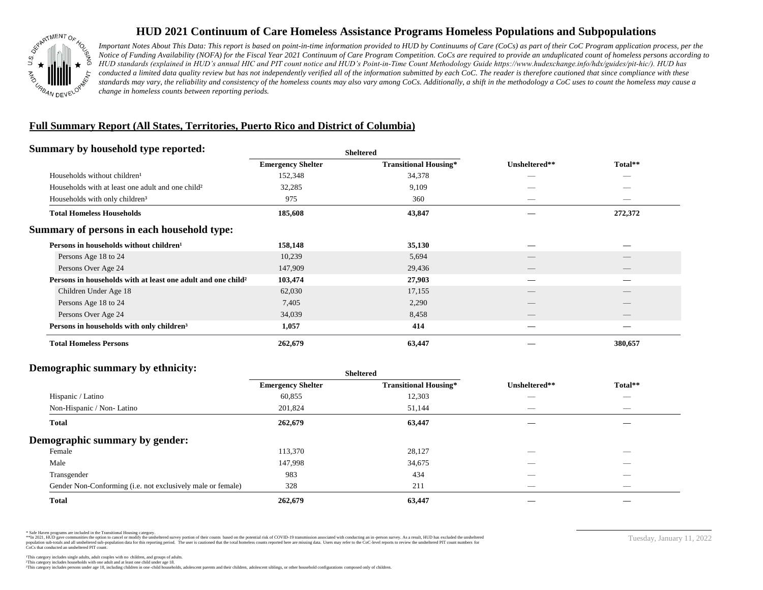

# **HUD 2021 Continuum of Care Homeless Assistance Programs Homeless Populations and Subpopulations**

*Important Notes About This Data: This report is based on point-in-time information provided to HUD by Continuums of Care (CoCs) as part of their CoC Program application process, per the Notice of Funding Availability (NOFA) for the Fiscal Year 2021 Continuum of Care Program Competition. CoCs are required to provide an unduplicated count of homeless persons according to HUD standards (explained in HUD's annual HIC and PIT count notice and HUD's Point-in-Time Count Methodology Guide https://www.hudexchange.info/hdx/guides/pit-hic/). HUD has*  conducted a limited data quality review but has not independently verified all of the information submitted by each CoC. The reader is therefore cautioned that since compliance with these standards may vary, the reliability and consistency of the homeless counts may also vary among CoCs. Additionally, a shift in the methodology a CoC uses to count the homeless may cause a *change in homeless counts between reporting periods.*

## **Full Summary Report (All States, Territories, Puerto Rico and District of Columbia)**

### **Summary by household type reported:**

|                                                                          |                          | .                            |                          |                                 |
|--------------------------------------------------------------------------|--------------------------|------------------------------|--------------------------|---------------------------------|
|                                                                          | <b>Emergency Shelter</b> | <b>Transitional Housing*</b> | Unsheltered**            | Total**                         |
| Households without children <sup>1</sup>                                 | 152,348                  | 34,378                       |                          | $\overbrace{\hspace{25mm}}^{}$  |
| Households with at least one adult and one child?                        | 32,285                   | 9,109                        |                          | _                               |
| Households with only children <sup>3</sup>                               | 975                      | 360                          |                          | $\hspace{0.1mm}-\hspace{0.1mm}$ |
| <b>Total Homeless Households</b>                                         | 185,608                  | 43,847                       |                          | 272,372                         |
| Summary of persons in each household type:                               |                          |                              |                          |                                 |
| Persons in households without children <sup>1</sup>                      | 158,148                  | 35,130                       |                          | _                               |
| Persons Age 18 to 24                                                     | 10,239                   | 5,694                        |                          | $\qquad \qquad$                 |
| Persons Over Age 24                                                      | 147,909                  | 29,436                       |                          | $\overline{\phantom{a}}$        |
| Persons in households with at least one adult and one child <sup>2</sup> | 103,474                  | 27,903                       | –                        |                                 |
| Children Under Age 18                                                    | 62,030                   | 17,155                       | $\overline{\phantom{a}}$ | $\overline{\phantom{a}}$        |
| Persons Age 18 to 24                                                     | 7,405                    | 2,290                        | $\overline{\phantom{a}}$ |                                 |
| Persons Over Age 24                                                      | 34,039                   | 8,458                        | $\overline{\phantom{a}}$ |                                 |
| Persons in households with only children <sup>3</sup>                    | 1,057                    | 414                          |                          |                                 |
| <b>Total Homeless Persons</b>                                            | 262,679                  | 63,447                       |                          | 380,657                         |
|                                                                          |                          |                              |                          |                                 |

**Sheltered**

#### **Demographic summary by ethnicity:**

| $P_{\rm{c}}$ $\sim$ $P_{\rm{c}}$ $\sim$ $P_{\rm{c}}$ $\sim$ $P_{\rm{c}}$ $\sim$ $P_{\rm{c}}$ $\sim$ $P_{\rm{c}}$ $\sim$ $P_{\rm{c}}$ $\sim$ $P_{\rm{c}}$ $\sim$ $P_{\rm{c}}$ $\sim$ $P_{\rm{c}}$ $\sim$ $P_{\rm{c}}$ $\sim$ $P_{\rm{c}}$ $\sim$ $P_{\rm{c}}$ $\sim$ $P_{\rm{c}}$ $\sim$ $P_{\rm{c}}$ | <b>Sheltered</b>         |                              |                                 |                                |  |
|------------------------------------------------------------------------------------------------------------------------------------------------------------------------------------------------------------------------------------------------------------------------------------------------------|--------------------------|------------------------------|---------------------------------|--------------------------------|--|
|                                                                                                                                                                                                                                                                                                      | <b>Emergency Shelter</b> | <b>Transitional Housing*</b> | Unsheltered**                   | Total**                        |  |
| Hispanic / Latino                                                                                                                                                                                                                                                                                    | 60,855                   | 12,303                       |                                 | $\overbrace{\hspace{25mm}}^{}$ |  |
| Non-Hispanic / Non-Latino                                                                                                                                                                                                                                                                            | 201,824                  | 51,144                       | $\hspace{0.05cm}$               | $\overbrace{\hspace{25mm}}^{}$ |  |
| Total                                                                                                                                                                                                                                                                                                | 262,679                  | 63,447                       |                                 |                                |  |
| Demographic summary by gender:                                                                                                                                                                                                                                                                       |                          |                              |                                 |                                |  |
| Female                                                                                                                                                                                                                                                                                               | 113,370                  | 28,127                       | _                               | _                              |  |
| Male                                                                                                                                                                                                                                                                                                 | 147,998                  | 34,675                       | __                              |                                |  |
| Transgender                                                                                                                                                                                                                                                                                          | 983                      | 434                          |                                 | $\overbrace{\hspace{25mm}}^{}$ |  |
| Gender Non-Conforming (i.e. not exclusively male or female)                                                                                                                                                                                                                                          | 328                      | 211                          | $\hspace{0.1mm}-\hspace{0.1mm}$ | $\overbrace{\hspace{25mm}}^{}$ |  |
| <b>Total</b>                                                                                                                                                                                                                                                                                         | 262,679                  | 63,447                       |                                 |                                |  |

\* Safe Haven programs are included in the Transitional Housing category.

\*\* In 2021, HUD gave communities the option to cancel or modify the unsheltered survey portion of their counts based on the potential risk of COVID-19 transmission associated with conducting an in-person survey. As a resul n population data for this reporting period. The user is cautioned that the total homeless counts reported here are missing data. Users may refer to the CoC-level reports to review the unsheltered PIT count numbers for pro CoCs that conducted an unsheltered PIT count.